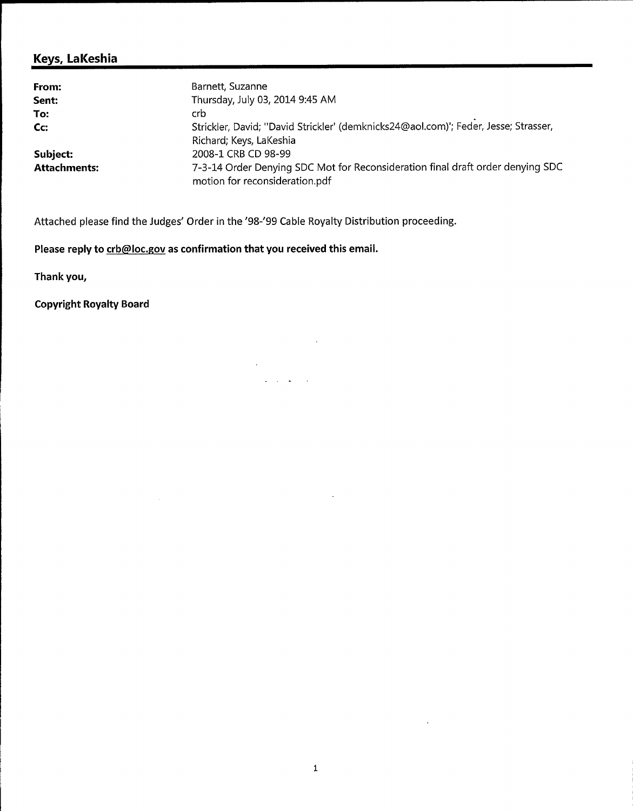## Keys, LaKeshia

| From:               | Barnett, Suzanne                                                                                                 |
|---------------------|------------------------------------------------------------------------------------------------------------------|
| Sent:               | Thursday, July 03, 2014 9:45 AM                                                                                  |
| To:                 | crb                                                                                                              |
| Cc:                 | Strickler, David; "David Strickler' (demknicks24@aol.com)'; Feder, Jesse; Strasser,                              |
|                     | Richard; Keys, LaKeshia                                                                                          |
| Subject:            | 2008-1 CRB CD 98-99                                                                                              |
| <b>Attachments:</b> | 7-3-14 Order Denying SDC Mot for Reconsideration final draft order denying SDC<br>motion for reconsideration.pdf |

 $\sim 100$ 

 $\cdot$ 

 $\Delta \sim 10^{11}$  mass  $^{-1}$  $\frac{1}{2}$  . The set of  $\frac{1}{2}$ 

Attached please find the Judges' Order in the '98-'99 Cable Royalty Distribution proceeding.

Please reply to crb@loc.gov as confirmation that you received this email.

 $\sim$ 

Thank you,

Copyright Royalty Board

 $\bar{\mathcal{A}}$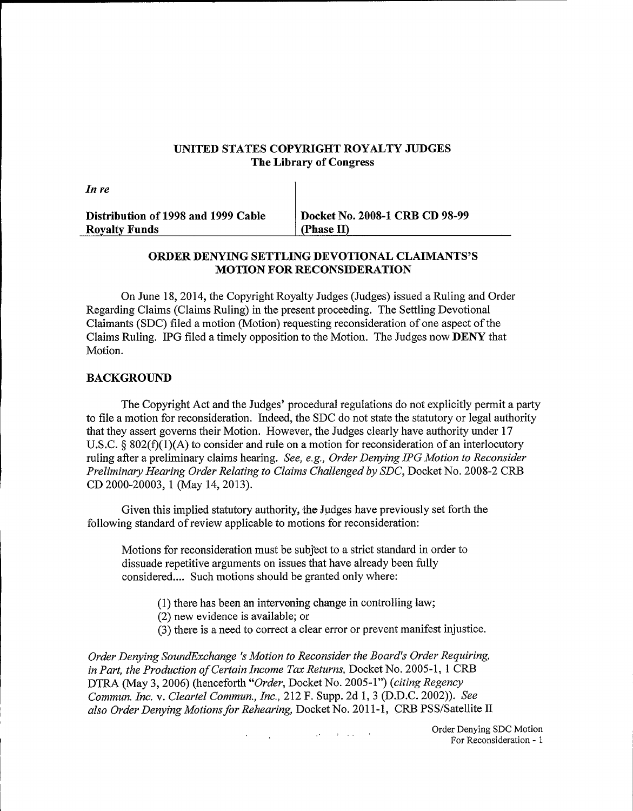## UNITED STATES COPYRIGHT ROYALTY JUDGES The Library of Congress

| In re                               |                                |
|-------------------------------------|--------------------------------|
| Distribution of 1998 and 1999 Cable | Docket No. 2008-1 CRB CD 98-99 |
| <b>Royalty Funds</b>                | (Phase II)                     |

## ORDER DENYING SETTLING DEVOTIONAL CLAIMANTS'S MOTION FOR RECONSIDERATION

On June 18, 2014, the Copyright Royalty Judges (Judges) issued a Ruling and Order Regarding Claims (Claims Ruling) in the present proceeding. The Settling Devotional Claimants (SDC) filed a motion (Motion) requesting reconsideration of one aspect of the Claims Ruling. IPG filed a timely opposition to the Motion. The Judges now DENY that Motion.

### BACKGROUND

The Copyright Act and the Judges' procedural regulations do not explicitly permit a party to file a motion for reconsideration. Indeed, the SDC do not state the statutory or legal authority that they assert governs their Motion. However, the Judges clearly have authority under 17 U.S.C.  $\S$  802(f)(1)(A) to consider and rule on a motion for reconsideration of an interlocutory ruling after a preliminary claims hearing. See, e.g., Order Denying IPG Motion to Reconsider Preliminary Hearing Order Relating to Claims Challenged by SDC, Docket No. 2008-2 CRB CD 2000-20003, <sup>1</sup> (May 14, 2013).

Given this implied statutory authority, the Judges have previously set forth the following standard of review applicable to motions for reconsideration:

Motions for reconsideration must be subject to a strict standard in order to dissuade repetitive arguments on issues that have already been fully considered.... Such motions should be granted only where:

- (1) there has been an intervening change in controlling law;
- (2) new evidence is available; or
- (3) there is a need to correct a clear error or prevent manifest injustice.

 $\mathcal{L}_{\mathcal{A}}(\mathcal{A})=\mathcal{L}_{\mathcal{A}}(\mathcal{A})\mathcal{A}=\mathcal{A}$  .

Order Denying SoundExchange 's Motion to Reconsider the Board's Order Requiring, in Part, the Production of Certain Income Tax Returns, Docket No. 2005-1, 1 CRB DTRA (May 3, 2006) (henceforth "Order, Docket No. 2005-1") (citing Regency Commun. Inc. v. Cleartel Commun., Inc., 212 F. Supp. 2d 1, 3 (D.D.C. 2002)). See also Order Denying Motions for Rehearing, Docket No. 2011-1, CRB PSS/Satellite II

> Order Denying SDC Motion For Reconsideration - <sup>1</sup>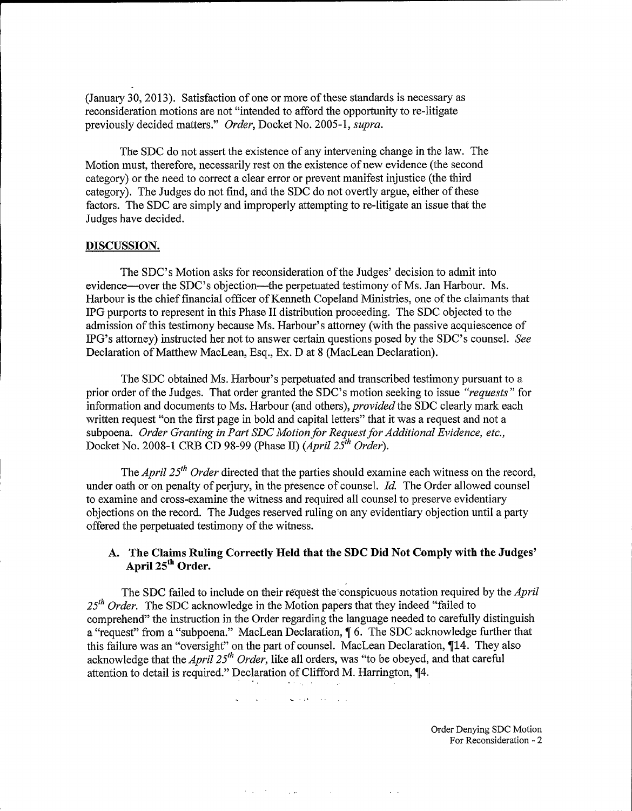(January 30, 2013). Satisfaction of one or more of these standards is necessary as reconsideration motions are not "intended to afford the opportunity to re-litigate previously decided matters." Order, Docket No. 2005-1, supra.

The SDC do not assert the existence of any intervening change in the law. The Motion must, therefore, necessarily rest on the existence of new evidence (the second category) or the need to correct a clear error or prevent manifest injustice (the third category). The Judges do not find, and the SDC do not overtly argue, either ofthese factors. The SDC are simply and improperly attempting to re-litigate an issue that the Judges have decided.

#### DISCUSSION.

The SDC's Motion asks for reconsideration of the Judges' decision to admit into evidence—over the SDC's objection—the perpetuated testimony of Ms. Jan Harbour. Ms. Harbour is the chief financial officer of Kenneth Copeland Ministries, one of the claimants that IPG purports to represent in this Phase II distribution proceeding. The SDC objected to the admission of this testimony because Ms. Harbour's attorney (with the passive acquiescence of IPG's attorney) instructed her not to answer certain questions posed by the SDC's counsel. See Declaration of Matthew MacLean, Esq., Ex. D at 8 (MacLean Declaration).

The SDC obtained Ms. Harbour's perpetuated and transcribed testimony pursuant to a prior order of the Judges. That order granted the SDC's motion seeking to issue "requests" for information and documents to Ms. Harbour (and others), provided the SDC clearly mark each written request "on the first page in bold and capital letters" that it was a request and not a subpoena. Order Granting in Part SDC Motion for Request for Additional Evidence, etc., Docket No. 2008-1 CRB CD 98-99 (Phase II) (April  $25<sup>th</sup> Order$ ).

The April 25<sup>th</sup> Order directed that the parties should examine each witness on the record, under oath or on penalty of perjury, in the presence of counsel.  $Id$ . The Order allowed counsel to examine and cross-examine the witness and required all counsel to preserve evidentiary objections on the record. The Judges reserved ruling on any evidentiary objection until a party offered the perpetuated testimony of the witness.

# April 25<sup>th</sup> Order.

A. The Claims Ruling Correctly Held that the SDC Did Not Comply with the<br>
April  $25^{th}$  Order.<br>
The SDC failed to include on their request the conspicuous notation required by<br> *Order*. The SDC acknowledge in the Motion p The SDC failed to include on their request the conspicuous notation required by the *April*  $25<sup>th</sup> Order$ . The SDC acknowledge in the Motion papers that they indeed "failed to comprehend" the instruction in the Order regarding the language needed to carefully distinguish a "request" from a "subpoena." MacLean Declaration,  $\oint$  6. The SDC acknowledge further that this failure was an "oversight" on the part of counsel. MacLean Declaration, 114. They also acknowledge that the April 25<sup>th</sup> Order, like all orders, was "to be obeyed, and that careful attention to detail is required." Declaration of Clifford M. Harrington,  $\P 4$ .

 $\mathcal{L}^{\mathcal{L}}(\mathbf{q})$  and  $\mathcal{L}^{\mathcal{L}}(\mathbf{q})$  and  $\mathcal{L}^{\mathcal{L}}(\mathbf{q})$  and  $\mathcal{L}^{\mathcal{L}}(\mathbf{q})$ 

 $\mathcal{F}(\mathcal{L}^{\mathcal{A}}(\mathcal{F}))$  . The following the contribution of  $\mathcal{F}(\mathcal{L}^{\mathcal{A}}(\mathcal{F}))$ 

 $\sim 10$ 

Order Denying SDC Motion For Reconsideration - 2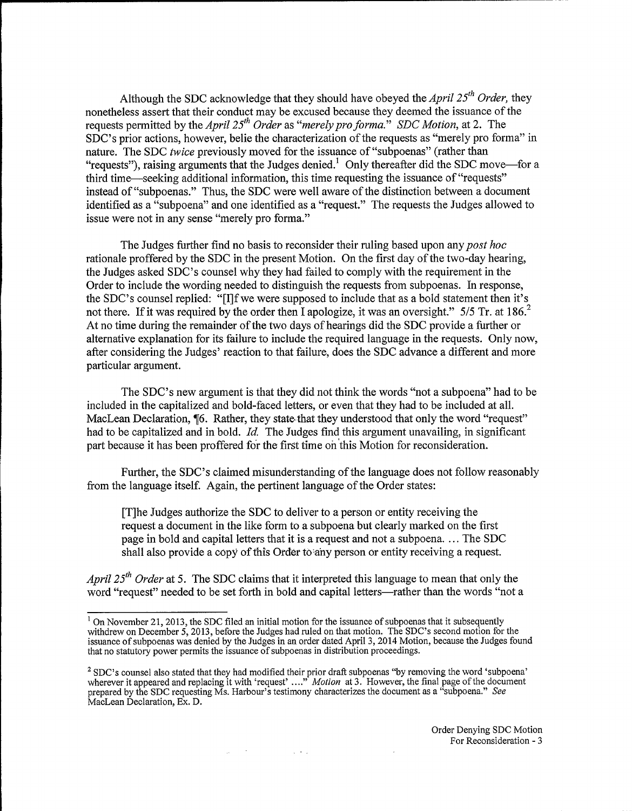Although the SDC acknowledge that they should have obeyed the *April*  $25<sup>th</sup> Order$ , they nonetheless assert that their conduct may be excused because they deemed the issuance of the requests permitted by the April 25<sup>th</sup> Order as "merely pro forma." SDC Motion, at 2. The SDC's prior actions, however, belie the characterization of the requests as "merely pro forma" in nature. The SDC twice previously moved for the issuance of "subpoenas" (rather than "requests"), raising arguments that the Judges denied.<sup>1</sup> Only thereafter did the SDC move—for a third time—seeking additional information, this time requesting the issuance of "requests" instead of "subpoenas." Thus, the SDC were well aware of the distinction between a document identified as a "subpoena" and one identified as a "request." The requests the Judges allowed to issue were not in any sense "merely pro forma."

The Judges further find no basis to reconsider their ruling based upon any post hoc rationale proffered by the SDC in the present Motion. On the first day of the two-day hearing, the Judges asked SDC's counsel why they had failed to comply with the requirement in the Order to include the wording needed to distinguish the requests from subpoenas. In response, the SDC's counsel replied: "[I]f we were supposed to include that as a bold statement then it's not there. If it was required by the order then I apologize, it was an oversight." 5/5 no time during the remainder of the two days of hearings did the SDC provide a further der to include the wording needed to distinguish the requests from subpoenas. In response SDC's counsel replied: "[I]f we were supposed to include that as a bold statement then it there. If it was required by the order the alternative explanation for its failure to include the required language in the requests. Only now, after considering the Judges' reaction to that failure, does the SDC advance a different and more particular argument.

The SDC's new argument is that they did not think the words "not a subpoena" had to be included in the capitalized and bold-faced letters, or even that they had to be included at all. MacLean Declaration,  $\P6$ . Rather, they state that they understood that only the word "request" had to be capitalized and in bold. Id. The Judges find this argument unavailing, in significant part because it has been proffered for the first time on this Motion for reconsideration.

Further, the SDC's claimed misunderstanding of the language does not follow reasonably from the language itself. Again, the pertinent language of the Order states:

[T]he Judges authorize the SDC to deliver to a person or entity receiving the request a document in the like form to a subpoena but clearly marked on the first page in bold and capital letters that it is a request and not a subpoena.... The SDC shall also provide a copy of this Order to any person or entity receiving a request.

*April 25<sup>th</sup> Order* at 5. The SDC claims that it interpreted this language to mean that only the word "request" needed to be set forth in bold and capital letters—rather than the words "not a

 $\mathcal{O}(\mathcal{F}^{\mathcal{A}})$  , where  $\mathcal{O}(\mathcal{A})$  is a subset of  $\mathcal{O}(\mathcal{A})$ 

<sup>&</sup>lt;sup>1</sup> On November 21, 2013, the SDC filed an initial motion for the issuance of subpoenas that it subsequently withdrew on December 5, 2013, before the Judges had ruled on that motion. The SDC's second motion for the issuance of subpoenas was denied by the Judges in an order dated April 3, 2014 Motion, because the Judges found that no statutory power permits the issuance ofsubpoenas in distribution proceedings.

SDC's counsel it appeared also and stated replacing that they it had with modified their prior<br>
1 'request' ...." Mo Motion draft at subpoenas 3. However, "by the removing final page counsel also stated that they had modified their prior draft subpoenas "by removing the word 'subpoena'<br>it appeared and replacing it with 'request' ...." *Motion* at 3. However, the final page of the document<br>by the SDC re prepared by the SDC requesting Ms. Harbour's testimony characterizes the document as a "subpoena." See MacLean Declaration, Ex. D.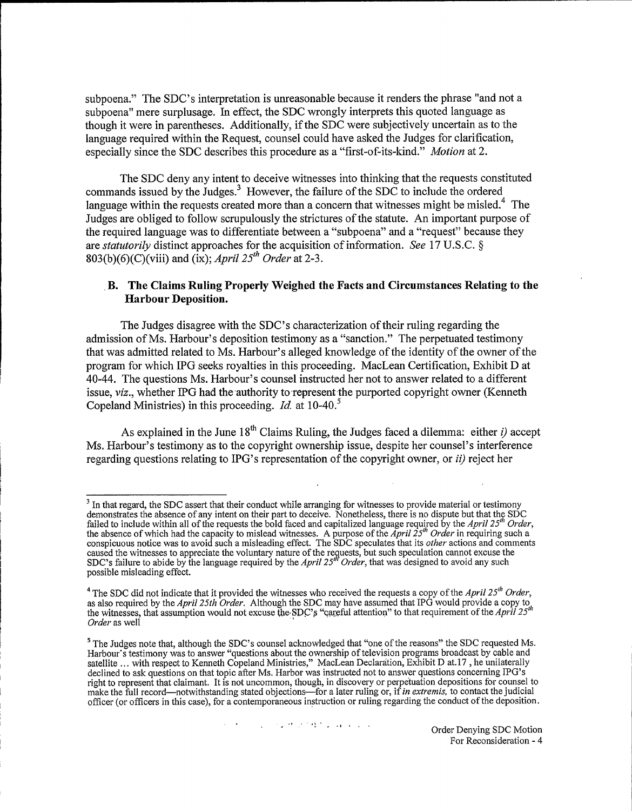subpoena." The SDC's interpretation is unreasonable because it renders the phrase "and not a subpoena" mere surplusage. In effect, the SDC wrongly interprets this quoted language as though it were in parentheses. Additionally, if the SDC were subjectively uncertain as to the language required within the Request, counsel could have asked the Judges for clarification, especially since the SDC describes this procedure as a "first-of-its-kind." Motion at 2.

The SDC deny any intent to deceive witnesses into thinking that the requests constituted commands issued by the Judges.<sup>3</sup> However, the failure of the SDC to include the ordered language within the requests created more than a concern that witnesses might be misled.<sup>4</sup> The Judges are obliged to follow scrupulously the strictures of the statute. An important purpose of the required language was to differentiate between a "subpoena" and a "request" because they are statutorily distinct approaches for the acquisition of information. See 17 U.S.C.  $\S$ 803(b)(6)(C)(viii) and (ix); April  $25<sup>th</sup> Order$  at 2-3.

## B. The Claims Ruling Properly Weighed the Facts and Circumstances Relating to the Harbour Deposition.

The Judges disagree with the SDC's characterization of their ruling regarding the admission ofMs. Harbour's deposition testimony as a "sanction." The perpetuated testimony that was admitted related to Ms. Harbour's alleged knowledge of the identity of the owner of the program for which IPG seeks royalties in this proceeding. MacLean Certification, Exhibit D at 40-44. The questions Ms. Harbour's counsel instructed her not to answer related to a different issue, viz., whether IPG had the authority to represent the purported copyright owner (Kenneth Copeland Ministries) in this proceeding. *Id.* at  $10-40$ <sup>5</sup>

As explained in the June 18<sup>th</sup> Claims Ruling, the Judges faced a dilemma: either *i*) accept Ms. Harbour's testimony as to the copyright ownership issue, despite her counsel's interference regarding questions relating to IPG's representation of the copyright owner, or *ii*) reject her

In that regard, the SDC assert that their conduct while arranging for witnesses to provide material or testimony demonstrates the absence of any intent on their part to deceive. Nonetheless, there is no dispute but that the SDC<br>failed to include within all of the requests the bold faced and capitalized language required by the April the absence of which had the capacity to mislead witnesses. A purpose of the April 25<sup>th</sup> Order in requiring such a conspicuous notice was to avoid such a misleading effect. The SDC speculates that its *other* actions and comments caused the witnesses to appreciate the voluntary nature of the requests, but such speculation cannot excuse the SDC's failure to abide by the language required by the April 25<sup>th</sup> Order, that was designed to avoid any such possible misleading effect.

<sup>&</sup>lt;sup>4</sup> The SDC did not indicate that it provided the witnesses who received the requests a copy of the April 25<sup>th</sup> Order, as also required by the April 25th Order. Although the SDC may have assumed that IPG would provide a copy to the witnesses, that assumption would not excuse the SDC's "careful attention" to that requirement of the April Order as well

<sup>&</sup>lt;sup>4</sup>The SDC did not indicate that it provided the witnesses who received the requests a copy of the *April 25<sup>th</sup>* Order, as also required by the *April 25th Order*. Although the SDC may have assumed that IPG would provide Harbour's testimony was to answer "questions about the ownership of television programs broadcast by cable and satellite ... with respect to Kenneth Copeland Ministries," MacLean Declaration, Exhibit D at.17, he unilaterally declined to ask questions on that topic after Ms. Harbor was instructed not to answer questions concerning IPG's right to represent that claimant. It is not uncommon, though, in discovery or perpetuation depositions for counsel to<br>make the full record—notwithstanding stated objections—for a later ruling or, if *in extremis*, to conta officer (or officers in this case), for a contemporaneous instruction or ruling regarding the conduct of the deposition.